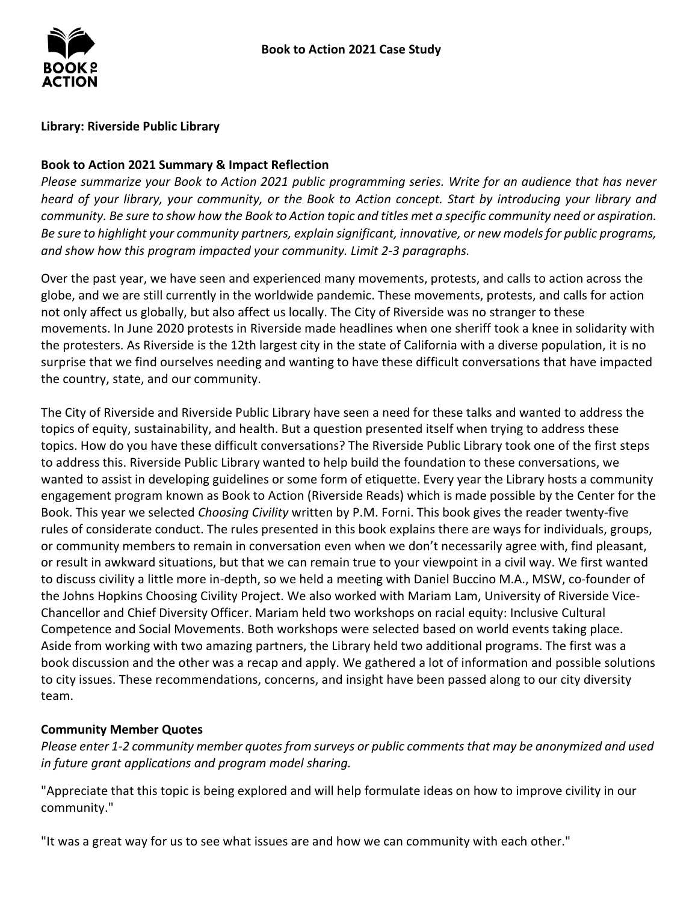

# **Library: Riverside Public Library**

# **Book to Action 2021 Summary & Impact Reflection**

*Please summarize your Book to Action 2021 public programming series. Write for an audience that has never heard of your library, your community, or the Book to Action concept. Start by introducing your library and community. Be sure to show how the Book to Action topic and titles met a specific community need or aspiration. Be sure to highlight your community partners, explain significant, innovative, or new models for public programs, and show how this program impacted your community. Limit 2-3 paragraphs.* 

 Over the past year, we have seen and experienced many movements, protests, and calls to action across the globe, and we are still currently in the worldwide pandemic. These movements, protests, and calls for action movements. In June 2020 protests in Riverside made headlines when one sheriff took a knee in solidarity with the protesters. As Riverside is the 12th largest city in the state of California with a diverse population, it is no surprise that we find ourselves needing and wanting to have these difficult conversations that have impacted not only affect us globally, but also affect us locally. The City of Riverside was no stranger to these the country, state, and our community.

 The City of Riverside and Riverside Public Library have seen a need for these talks and wanted to address the topics of equity, sustainability, and health. But a question presented itself when trying to address these topics. How do you have these difficult conversations? The Riverside Public Library took one of the first steps to address this. Riverside Public Library wanted to help build the foundation to these conversations, we wanted to assist in developing guidelines or some form of etiquette. Every year the Library hosts a community engagement program known as Book to Action (Riverside Reads) which is made possible by the Center for the rules of considerate conduct. The rules presented in this book explains there are ways for individuals, groups, or community members to remain in conversation even when we don't necessarily agree with, find pleasant, or result in awkward situations, but that we can remain true to your viewpoint in a civil way. We first wanted the Johns Hopkins Choosing Civility Project. We also worked with Mariam Lam, University of Riverside Vice- Aside from working with two amazing partners, the Library held two additional programs. The first was a book discussion and the other was a recap and apply. We gathered a lot of information and possible solutions Book. This year we selected *Choosing Civility* written by P.M. Forni. This book gives the reader twenty-five to discuss civility a little more in-depth, so we held a meeting with Daniel Buccino M.A., MSW, co-founder of Chancellor and Chief Diversity Officer. Mariam held two workshops on racial equity: Inclusive Cultural Competence and Social Movements. Both workshops were selected based on world events taking place. to city issues. These recommendations, concerns, and insight have been passed along to our city diversity team.

# **Community Member Quotes**

*Please enter 1-2 community member quotesfrom surveys or public comments that may be anonymized and used in future grant applications and program model sharing.* 

"Appreciate that this topic is being explored and will help formulate ideas on how to improve civility in our community."

"It was a great way for us to see what issues are and how we can community with each other."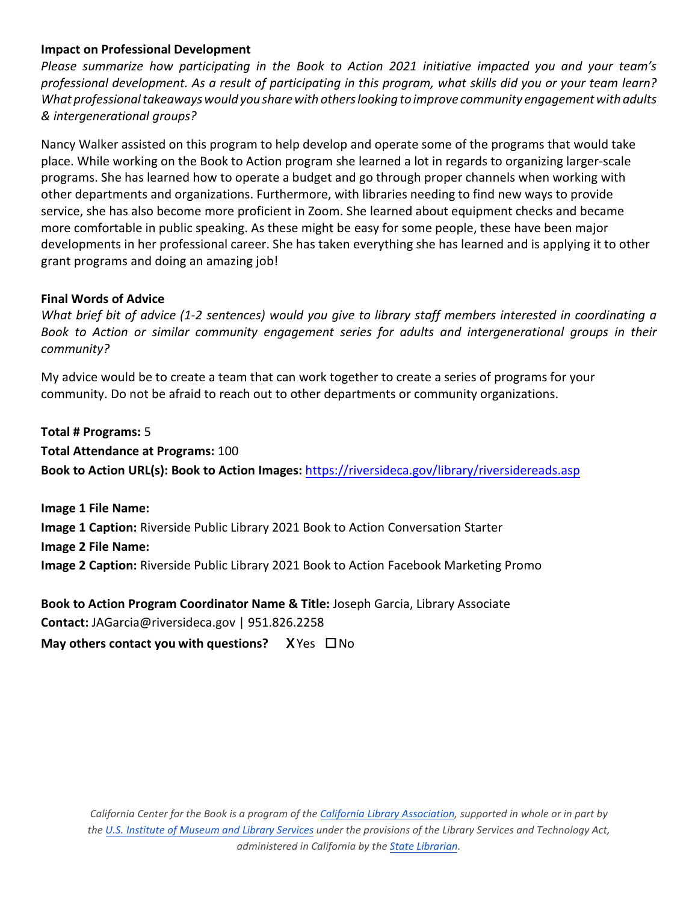# **Impact on Professional Development**

 *What professional takeaways would you sharewith others looking to improve community engagement with adults & intergenerational groups? Please summarize how participating in the Book to Action 2021 initiative impacted you and your team's professional development. As a result of participating in this program, what skills did you or your team learn?* 

 Nancy Walker assisted on this program to help develop and operate some of the programs that would take place. While working on the Book to Action program she learned a lot in regards to organizing larger-scale other departments and organizations. Furthermore, with libraries needing to find new ways to provide service, she has also become more proficient in Zoom. She learned about equipment checks and became programs. She has learned how to operate a budget and go through proper channels when working with more comfortable in public speaking. As these might be easy for some people, these have been major developments in her professional career. She has taken everything she has learned and is applying it to other grant programs and doing an amazing job!

# **Final Words of Advice**

*What brief bit of advice (1-2 sentences) would you give to library staff members interested in coordinating a Book to Action or similar community engagement series for adults and intergenerational groups in their community?* 

 My advice would be to create a team that can work together to create a series of programs for your community. Do not be afraid to reach out to other departments or community organizations.

 **Total # Programs:** 5 **Total Attendance at Programs:** 100 **Book to Action URL(s): Book to Action Images:** <https://riversideca.gov/library/riversidereads.asp>

 **Image 2 File Name: Image 1 File Name: Image 1 Caption:** Riverside Public Library 2021 Book to Action Conversation Starter **Image 2 Caption:** Riverside Public Library 2021 Book to Action Facebook Marketing Promo

 **May others contact you with questions?** X Yes ☐ No **Book to Action Program Coordinator Name & Title:** Joseph Garcia, Library Associate **Contact:** JAGarcia@riversideca.gov | 951.826.2258